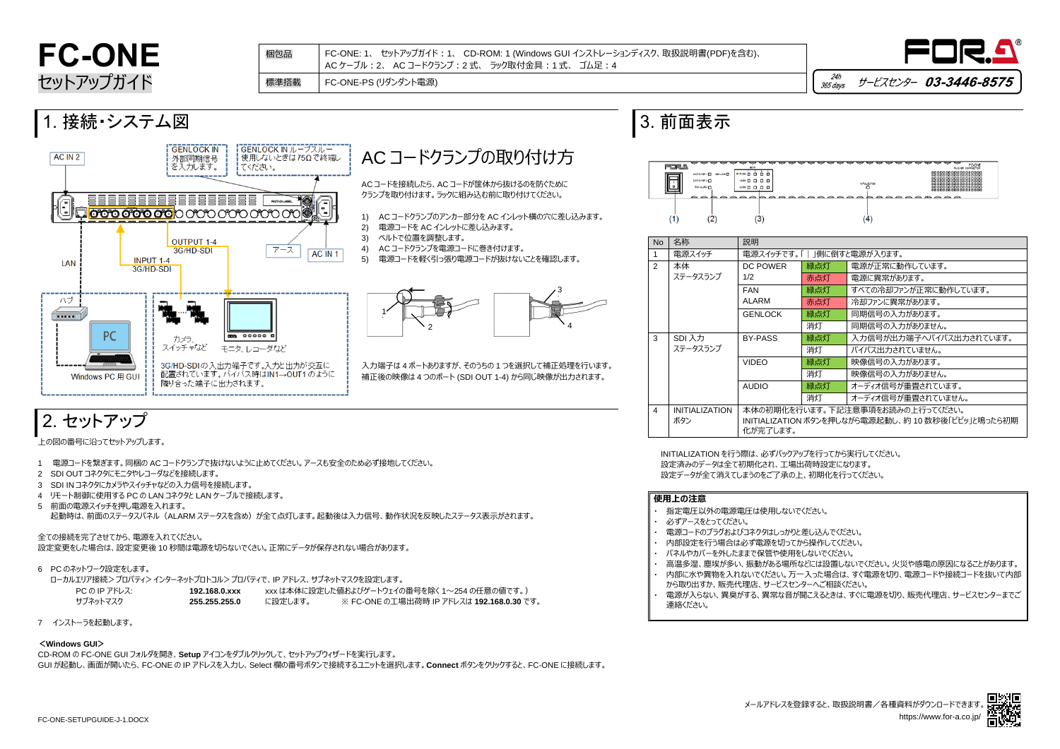

| 「 」側に倒すと電源が入ります。          |                         |  |  |  |
|---------------------------|-------------------------|--|--|--|
| 緑点灯                       | 電源が正常に動作しています。          |  |  |  |
| 赤点灯                       | 雷源に異常があります。             |  |  |  |
| 緑点灯                       | すべての冷却ファンが正常に動作しています。   |  |  |  |
| 赤点灯                       | 冷却ファンに異常があります。          |  |  |  |
| 緑点灯                       | 同期信号の入力があります。           |  |  |  |
| 消灯                        | 同期信号の入力がありません。          |  |  |  |
| 緑点灯                       | 入力信号が出力端子へバイパス出力されています。 |  |  |  |
| 消灯                        | バイパス出力されていません。          |  |  |  |
| 緑点灯                       | 映像信号の入力があります。           |  |  |  |
| 消灯                        | 映像信号の入力がありません。          |  |  |  |
| 緑点灯                       | オーディオ信号が重畳されています。       |  |  |  |
| 消灯                        | オーディオ信号が重畳されていません。      |  |  |  |
| テいます。下記注意事項をお読みの上行ってください。 |                         |  |  |  |

# **FC-ONE** セットアップガイド

- 1 電源コードを繋ぎます。同梱の AC コードクランプで抜けないように止めてください。アースも安全のため必ず接地してください。
- 2 SDI OUT コネクタにモニタやレコーダなどを接続します。
- 3 SDI IN コネクタにカメラやスイッチャなどの入力信号を接続します。
- 4 リモート制御に使用する PC の LAN コネクタと LAN ケーブルで接続します。
- 5 前面の電源スイッチを押し電源を入れます。 起動時は、前面のステータスパネル(ALARM ステータスを含め)が全て点灯します。起動後は入力信号、動作状況を反映したステータス表示がされます。

上の図の番号に沿ってセットアップします。

### 全ての接続を完了させてから、電源を入れてください。

設定変更をした場合は、設定変更後 10 秒間は電源を切らないでくさい。正常にデータが保存されない場合があります。

6 PC のネットワーク設定をします。

ローカルエリア接続>プロパティ>インターネットプロトコル>プロパティで、IP アドレス、サブネットマスクを設定します。



| PC の IP アドレス: - | 192.168.0.xxx |         | - xxx は本体に設定した値およびゲートウェイの番号を除く 1〜254 の任意の値です。) - |
|-----------------|---------------|---------|--------------------------------------------------|
| サブネットマスク        | 255.255.255.0 | に設定します。 | ※ FC-ONE の工場出荷時 IP アドレスは <b>192.168.0.30</b> です。 |

・ 高温多湿、塵埃が多い、振動がある場所などには設置しないでください。火災や感電の原因になることがあります。 ・ 内部に水や異物を入れないでください。万一入った場合は、すぐ電源を切り、電源コードや接続コードを抜いて内部 電源が入らない、異臭がする、異常な音が聞こえるときは、すぐに電源を切り、販売代理店、サービスセンターまでご

7 インストーラを起動します。

#### **<Windows GUI>**

CD-ROM の FC-ONE GUI フォルダを開き、**Setup** アイコンをダブルクリックして、セットアップウィザードを実行します。 GUI が起動し、画面が開いたら、FC-ONE の IP アドレスを入力し、Select 欄の番号ボタンで接続するユニットを選択します。**Connect** ボタンをクリックすると、FC-ONE に接続します。 INITIALIZATION を行う際は、必ずバックアップを行ってから実行してください。 設定済みのデータは全て初期化され、工場出荷時設定になります。 設定データが全て消えてしまうのをご了承の上、初期化を行ってください。

### **使用上の注意**

- ・ 指定電圧以外の電源電圧は使用しないでください。
- 必ずアースをとってください。
	- ・ 電源コードのプラグおよびコネクタはしっかりと差し込んでください。
	- ・ 内部設定を行う場合は必ず電源を切ってから操作してください。
	- ・ パネルやカバーを外したままで保管や使用をしないでください。
	-
	- から取り出すか、販売代理店、サービスセンターへご相談ください。
	- 連絡ください。

FC-ONE: 1、 セットアップガイド:1、 CD-ROM: 1 (Windows GUI インストレーションディスク、取扱説明書(PDF)を含む)、 AC ケーブル:2、 AC コードクランプ:2 式、 ラック取付金具:1 式、 ゴム足:4 梱包品





標準搭載 FC-ONE-PS (リダンダント電源)